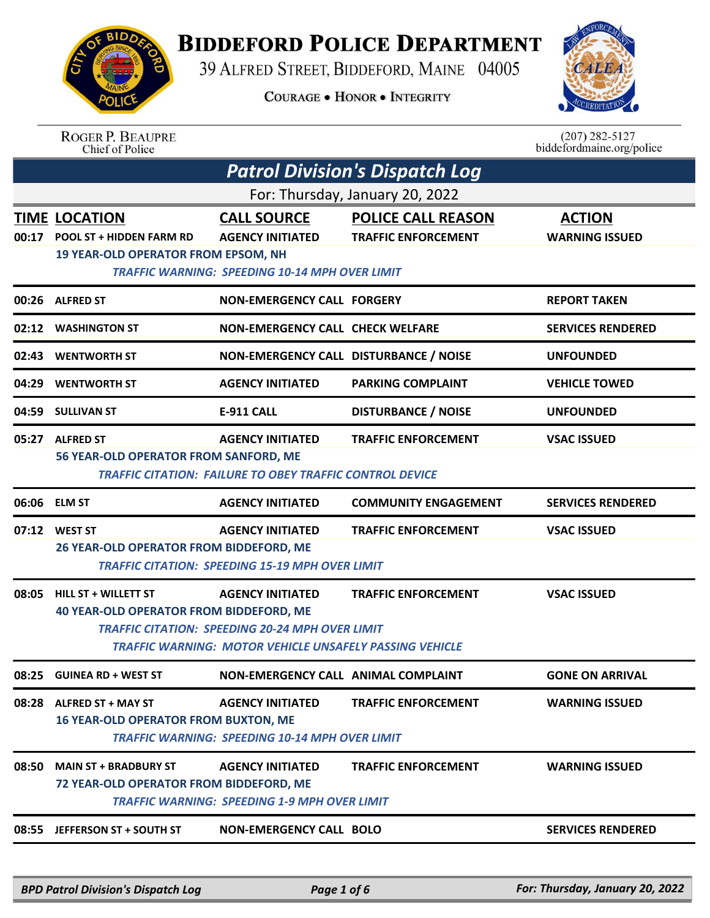

## **BIDDEFORD POLICE DEPARTMENT**

39 ALFRED STREET, BIDDEFORD, MAINE 04005

**COURAGE . HONOR . INTEGRITY** 



ROGER P. BEAUPRE<br>Chief of Police

 $(207)$  282-5127 biddefordmaine.org/police

| <b>Patrol Division's Dispatch Log</b> |                                                                                                       |                                                                                                                                                     |                                                         |                                        |  |
|---------------------------------------|-------------------------------------------------------------------------------------------------------|-----------------------------------------------------------------------------------------------------------------------------------------------------|---------------------------------------------------------|----------------------------------------|--|
| For: Thursday, January 20, 2022       |                                                                                                       |                                                                                                                                                     |                                                         |                                        |  |
| 00:17                                 | <b>TIME LOCATION</b><br><b>POOL ST + HIDDEN FARM RD</b><br><b>19 YEAR-OLD OPERATOR FROM EPSOM, NH</b> | <b>CALL SOURCE</b><br><b>AGENCY INITIATED</b><br><b>TRAFFIC WARNING: SPEEDING 10-14 MPH OVER LIMIT</b>                                              | <b>POLICE CALL REASON</b><br><b>TRAFFIC ENFORCEMENT</b> | <b>ACTION</b><br><b>WARNING ISSUED</b> |  |
|                                       | 00:26 ALFRED ST                                                                                       | <b>NON-EMERGENCY CALL FORGERY</b>                                                                                                                   |                                                         | <b>REPORT TAKEN</b>                    |  |
| 02:12                                 | <b>WASHINGTON ST</b>                                                                                  | <b>NON-EMERGENCY CALL CHECK WELFARE</b>                                                                                                             |                                                         | <b>SERVICES RENDERED</b>               |  |
| 02:43                                 | <b>WENTWORTH ST</b>                                                                                   | NON-EMERGENCY CALL DISTURBANCE / NOISE                                                                                                              |                                                         | <b>UNFOUNDED</b>                       |  |
| 04:29                                 | <b>WENTWORTH ST</b>                                                                                   | <b>AGENCY INITIATED</b>                                                                                                                             | <b>PARKING COMPLAINT</b>                                | <b>VEHICLE TOWED</b>                   |  |
|                                       | 04:59 SULLIVAN ST                                                                                     | <b>E-911 CALL</b>                                                                                                                                   | <b>DISTURBANCE / NOISE</b>                              | <b>UNFOUNDED</b>                       |  |
|                                       | 05:27 ALFRED ST<br>56 YEAR-OLD OPERATOR FROM SANFORD, ME                                              | <b>AGENCY INITIATED</b><br><b>TRAFFIC CITATION: FAILURE TO OBEY TRAFFIC CONTROL DEVICE</b>                                                          | <b>TRAFFIC ENFORCEMENT</b>                              | <b>VSAC ISSUED</b>                     |  |
|                                       | 06:06 ELM ST                                                                                          | <b>AGENCY INITIATED</b>                                                                                                                             | <b>COMMUNITY ENGAGEMENT</b>                             | <b>SERVICES RENDERED</b>               |  |
|                                       | 07:12 WEST ST<br>26 YEAR-OLD OPERATOR FROM BIDDEFORD, ME                                              | <b>AGENCY INITIATED</b><br><b>TRAFFIC CITATION: SPEEDING 15-19 MPH OVER LIMIT</b>                                                                   | <b>TRAFFIC ENFORCEMENT</b>                              | <b>VSAC ISSUED</b>                     |  |
| 08:05                                 | <b>HILL ST + WILLETT ST</b><br><b>40 YEAR-OLD OPERATOR FROM BIDDEFORD, ME</b>                         | <b>AGENCY INITIATED</b><br><b>TRAFFIC CITATION: SPEEDING 20-24 MPH OVER LIMIT</b><br><b>TRAFFIC WARNING: MOTOR VEHICLE UNSAFELY PASSING VEHICLE</b> | <b>TRAFFIC ENFORCEMENT</b>                              | <b>VSAC ISSUED</b>                     |  |
| 08:25                                 | <b>GUINEA RD + WEST ST</b>                                                                            | <b>NON-EMERGENCY CALL ANIMAL COMPLAINT</b>                                                                                                          |                                                         | <b>GONE ON ARRIVAL</b>                 |  |
| 08:28                                 | <b>ALFRED ST + MAY ST</b><br><b>16 YEAR-OLD OPERATOR FROM BUXTON, ME</b>                              | <b>AGENCY INITIATED</b><br><b>TRAFFIC WARNING: SPEEDING 10-14 MPH OVER LIMIT</b>                                                                    | <b>TRAFFIC ENFORCEMENT</b>                              | <b>WARNING ISSUED</b>                  |  |
| 08:50                                 | <b>MAIN ST + BRADBURY ST</b><br>72 YEAR-OLD OPERATOR FROM BIDDEFORD, ME                               | <b>AGENCY INITIATED</b><br><b>TRAFFIC WARNING: SPEEDING 1-9 MPH OVER LIMIT</b>                                                                      | <b>TRAFFIC ENFORCEMENT</b>                              | <b>WARNING ISSUED</b>                  |  |
| 08:55                                 | <b>JEFFERSON ST + SOUTH ST</b>                                                                        | <b>NON-EMERGENCY CALL BOLO</b>                                                                                                                      |                                                         | <b>SERVICES RENDERED</b>               |  |
|                                       | <b>BPD Patrol Division's Dispatch Log</b>                                                             | Page 1 of 6                                                                                                                                         |                                                         | For: Thursday, January 20, 2022        |  |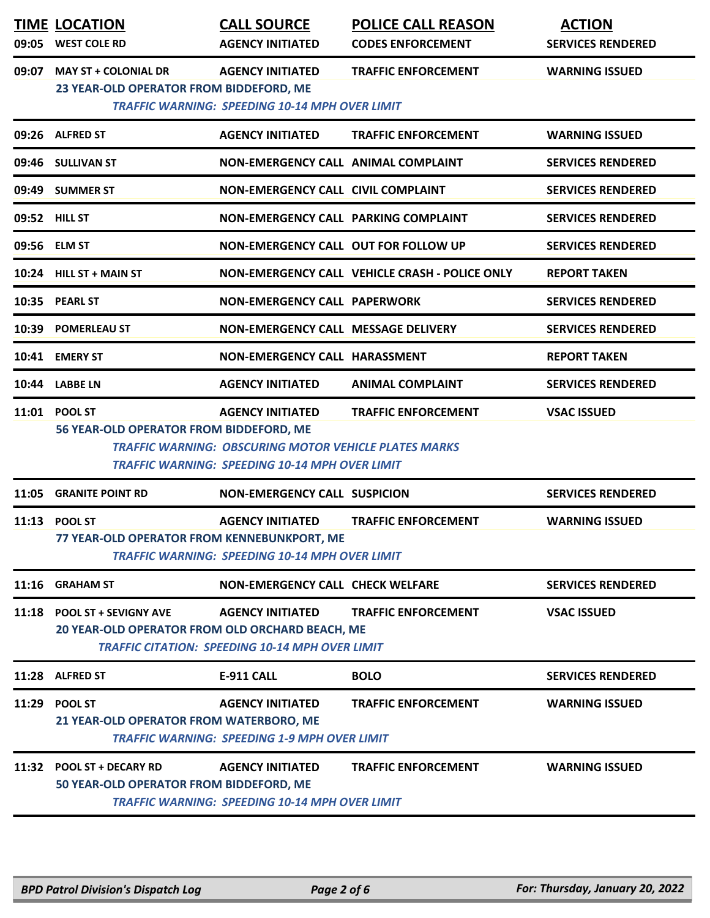|               | <b>TIME LOCATION</b><br>09:05 WEST COLE RD                                            | <b>CALL SOURCE</b><br><b>AGENCY INITIATED</b>                                                                                                    | <b>POLICE CALL REASON</b><br><b>CODES ENFORCEMENT</b> | <b>ACTION</b><br><b>SERVICES RENDERED</b> |
|---------------|---------------------------------------------------------------------------------------|--------------------------------------------------------------------------------------------------------------------------------------------------|-------------------------------------------------------|-------------------------------------------|
| 09:07         | <b>MAY ST + COLONIAL DR</b><br>23 YEAR-OLD OPERATOR FROM BIDDEFORD, ME                | <b>AGENCY INITIATED</b><br><b>TRAFFIC WARNING: SPEEDING 10-14 MPH OVER LIMIT</b>                                                                 | <b>TRAFFIC ENFORCEMENT</b>                            | <b>WARNING ISSUED</b>                     |
|               | 09:26 ALFRED ST                                                                       | <b>AGENCY INITIATED</b>                                                                                                                          | <b>TRAFFIC ENFORCEMENT</b>                            | <b>WARNING ISSUED</b>                     |
|               | 09:46 SULLIVAN ST                                                                     | NON-EMERGENCY CALL ANIMAL COMPLAINT                                                                                                              |                                                       | <b>SERVICES RENDERED</b>                  |
|               | 09:49 SUMMER ST                                                                       | <b>NON-EMERGENCY CALL CIVIL COMPLAINT</b>                                                                                                        |                                                       | <b>SERVICES RENDERED</b>                  |
| 09:52 HILL ST |                                                                                       | NON-EMERGENCY CALL PARKING COMPLAINT                                                                                                             |                                                       | <b>SERVICES RENDERED</b>                  |
| 09:56 ELM ST  |                                                                                       | NON-EMERGENCY CALL OUT FOR FOLLOW UP                                                                                                             |                                                       | <b>SERVICES RENDERED</b>                  |
|               | 10:24 HILL ST + MAIN ST                                                               |                                                                                                                                                  | NON-EMERGENCY CALL VEHICLE CRASH - POLICE ONLY        | <b>REPORT TAKEN</b>                       |
|               | 10:35 PEARL ST                                                                        | <b>NON-EMERGENCY CALL PAPERWORK</b>                                                                                                              |                                                       | <b>SERVICES RENDERED</b>                  |
|               | 10:39 POMERLEAU ST                                                                    | <b>NON-EMERGENCY CALL MESSAGE DELIVERY</b>                                                                                                       |                                                       | <b>SERVICES RENDERED</b>                  |
|               | 10:41 EMERY ST                                                                        | NON-EMERGENCY CALL HARASSMENT                                                                                                                    |                                                       | <b>REPORT TAKEN</b>                       |
|               | 10:44 LABBE LN                                                                        | <b>AGENCY INITIATED</b>                                                                                                                          | <b>ANIMAL COMPLAINT</b>                               | <b>SERVICES RENDERED</b>                  |
|               | 11:01 POOL ST<br>56 YEAR-OLD OPERATOR FROM BIDDEFORD, ME                              | <b>AGENCY INITIATED</b><br><b>TRAFFIC WARNING: OBSCURING MOTOR VEHICLE PLATES MARKS</b><br><b>TRAFFIC WARNING: SPEEDING 10-14 MPH OVER LIMIT</b> | <b>TRAFFIC ENFORCEMENT</b>                            | <b>VSAC ISSUED</b>                        |
| 11:05         | <b>GRANITE POINT RD</b>                                                               | <b>NON-EMERGENCY CALL SUSPICION</b>                                                                                                              |                                                       | <b>SERVICES RENDERED</b>                  |
|               | 11:13 POOL ST<br>77 YEAR-OLD OPERATOR FROM KENNEBUNKPORT, ME                          | <b>AGENCY INITIATED</b><br><b>TRAFFIC WARNING: SPEEDING 10-14 MPH OVER LIMIT</b>                                                                 | <b>TRAFFIC ENFORCEMENT</b>                            | <b>WARNING ISSUED</b>                     |
|               | 11:16 GRAHAM ST                                                                       | <b>NON-EMERGENCY CALL CHECK WELFARE</b>                                                                                                          |                                                       | <b>SERVICES RENDERED</b>                  |
|               | 11:18 POOL ST + SEVIGNY AVE<br><b>20 YEAR-OLD OPERATOR FROM OLD ORCHARD BEACH, ME</b> | <b>AGENCY INITIATED</b><br><b>TRAFFIC CITATION: SPEEDING 10-14 MPH OVER LIMIT</b>                                                                | <b>TRAFFIC ENFORCEMENT</b>                            | <b>VSAC ISSUED</b>                        |
|               | 11:28 ALFRED ST                                                                       | <b>E-911 CALL</b>                                                                                                                                | <b>BOLO</b>                                           | <b>SERVICES RENDERED</b>                  |
|               | 11:29 POOL ST<br>21 YEAR-OLD OPERATOR FROM WATERBORO, ME                              | <b>AGENCY INITIATED</b><br><b>TRAFFIC WARNING: SPEEDING 1-9 MPH OVER LIMIT</b>                                                                   | <b>TRAFFIC ENFORCEMENT</b>                            | <b>WARNING ISSUED</b>                     |
| 11:32         | <b>POOL ST + DECARY RD</b><br>50 YEAR-OLD OPERATOR FROM BIDDEFORD, ME                 | <b>AGENCY INITIATED</b><br><b>TRAFFIC WARNING: SPEEDING 10-14 MPH OVER LIMIT</b>                                                                 | <b>TRAFFIC ENFORCEMENT</b>                            | <b>WARNING ISSUED</b>                     |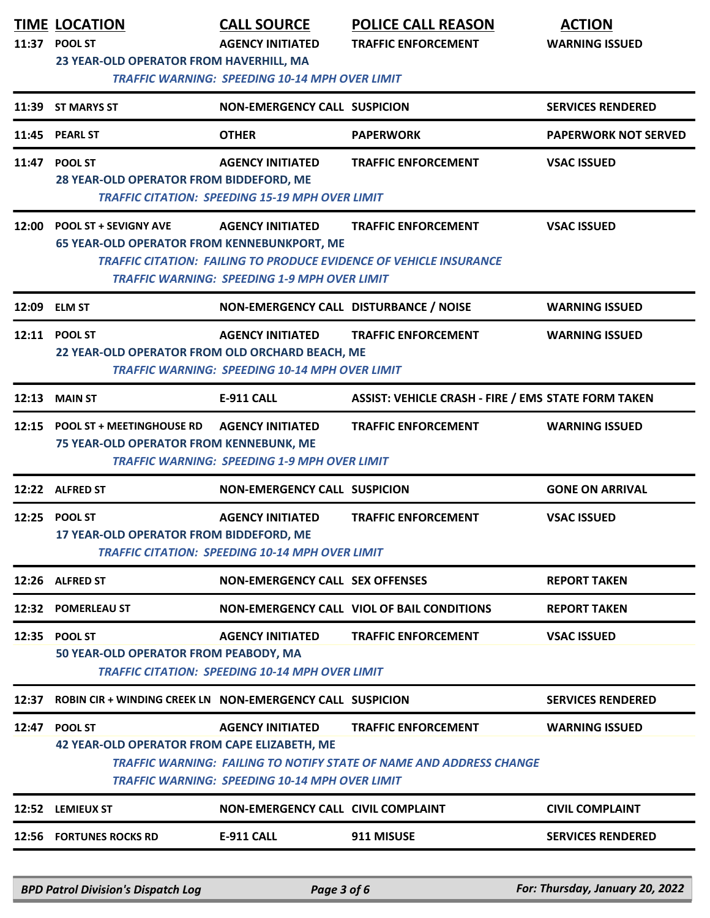|       | <b>TIME LOCATION</b><br>11:37 POOL ST<br>23 YEAR-OLD OPERATOR FROM HAVERHILL, MA   | <b>CALL SOURCE</b><br><b>AGENCY INITIATED</b><br><b>TRAFFIC WARNING: SPEEDING 10-14 MPH OVER LIMIT</b> | <b>POLICE CALL REASON</b><br><b>TRAFFIC ENFORCEMENT</b>                                                  | <b>ACTION</b><br><b>WARNING ISSUED</b> |
|-------|------------------------------------------------------------------------------------|--------------------------------------------------------------------------------------------------------|----------------------------------------------------------------------------------------------------------|----------------------------------------|
|       | 11:39 ST MARYS ST                                                                  | <b>NON-EMERGENCY CALL SUSPICION</b>                                                                    |                                                                                                          | <b>SERVICES RENDERED</b>               |
|       | 11:45 PEARL ST                                                                     | <b>OTHER</b>                                                                                           | <b>PAPERWORK</b>                                                                                         | <b>PAPERWORK NOT SERVED</b>            |
|       | 11:47 POOL ST<br>28 YEAR-OLD OPERATOR FROM BIDDEFORD, ME                           | <b>AGENCY INITIATED</b><br><b>TRAFFIC CITATION: SPEEDING 15-19 MPH OVER LIMIT</b>                      | <b>TRAFFIC ENFORCEMENT</b>                                                                               | <b>VSAC ISSUED</b>                     |
| 12:00 | <b>POOL ST + SEVIGNY AVE</b><br><b>65 YEAR-OLD OPERATOR FROM KENNEBUNKPORT, ME</b> | <b>AGENCY INITIATED</b><br><b>TRAFFIC WARNING: SPEEDING 1-9 MPH OVER LIMIT</b>                         | <b>TRAFFIC ENFORCEMENT</b><br><b>TRAFFIC CITATION: FAILING TO PRODUCE EVIDENCE OF VEHICLE INSURANCE</b>  | <b>VSAC ISSUED</b>                     |
|       | 12:09 ELM ST                                                                       | NON-EMERGENCY CALL DISTURBANCE / NOISE                                                                 |                                                                                                          | <b>WARNING ISSUED</b>                  |
|       | 12:11 POOL ST<br>22 YEAR-OLD OPERATOR FROM OLD ORCHARD BEACH, ME                   | <b>AGENCY INITIATED</b><br><b>TRAFFIC WARNING: SPEEDING 10-14 MPH OVER LIMIT</b>                       | <b>TRAFFIC ENFORCEMENT</b>                                                                               | <b>WARNING ISSUED</b>                  |
|       | <b>12:13 MAIN ST</b>                                                               | <b>E-911 CALL</b>                                                                                      | <b>ASSIST: VEHICLE CRASH - FIRE / EMS STATE FORM TAKEN</b>                                               |                                        |
|       | 12:15 POOL ST + MEETINGHOUSE RD<br><b>75 YEAR-OLD OPERATOR FROM KENNEBUNK, ME</b>  | <b>AGENCY INITIATED</b><br><b>TRAFFIC WARNING: SPEEDING 1-9 MPH OVER LIMIT</b>                         | <b>TRAFFIC ENFORCEMENT</b>                                                                               | <b>WARNING ISSUED</b>                  |
|       | 12:22 ALFRED ST                                                                    | <b>NON-EMERGENCY CALL SUSPICION</b>                                                                    |                                                                                                          | <b>GONE ON ARRIVAL</b>                 |
|       | 12:25 POOL ST<br>17 YEAR-OLD OPERATOR FROM BIDDEFORD, ME                           | <b>AGENCY INITIATED</b><br><b>TRAFFIC CITATION: SPEEDING 10-14 MPH OVER LIMIT</b>                      | <b>TRAFFIC ENFORCEMENT</b>                                                                               | <b>VSAC ISSUED</b>                     |
|       | 12:26 ALFRED ST                                                                    | NON-EMERGENCY CALL SEX OFFENSES                                                                        |                                                                                                          | <b>REPORT TAKEN</b>                    |
|       | 12:32 POMERLEAU ST                                                                 |                                                                                                        | <b>NON-EMERGENCY CALL VIOL OF BAIL CONDITIONS</b>                                                        | <b>REPORT TAKEN</b>                    |
|       | 12:35 POOL ST<br>50 YEAR-OLD OPERATOR FROM PEABODY, MA                             | <b>AGENCY INITIATED</b><br><b>TRAFFIC CITATION: SPEEDING 10-14 MPH OVER LIMIT</b>                      | <b>TRAFFIC ENFORCEMENT</b>                                                                               | <b>VSAC ISSUED</b>                     |
| 12:37 | <b>ROBIN CIR + WINDING CREEK LN NON-EMERGENCY CALL SUSPICION</b>                   |                                                                                                        |                                                                                                          | <b>SERVICES RENDERED</b>               |
| 12:47 | <b>POOL ST</b><br>42 YEAR-OLD OPERATOR FROM CAPE ELIZABETH, ME                     | <b>AGENCY INITIATED</b><br><b>TRAFFIC WARNING: SPEEDING 10-14 MPH OVER LIMIT</b>                       | <b>TRAFFIC ENFORCEMENT</b><br><b>TRAFFIC WARNING: FAILING TO NOTIFY STATE OF NAME AND ADDRESS CHANGE</b> | <b>WARNING ISSUED</b>                  |
|       | 12:52 LEMIEUX ST                                                                   | NON-EMERGENCY CALL CIVIL COMPLAINT                                                                     |                                                                                                          | <b>CIVIL COMPLAINT</b>                 |
| 12:56 | <b>FORTUNES ROCKS RD</b>                                                           | <b>E-911 CALL</b>                                                                                      | 911 MISUSE                                                                                               | <b>SERVICES RENDERED</b>               |
|       | <b>BPD Patrol Division's Dispatch Log</b>                                          | Page 3 of 6                                                                                            |                                                                                                          | For: Thursday, January 20, 2022        |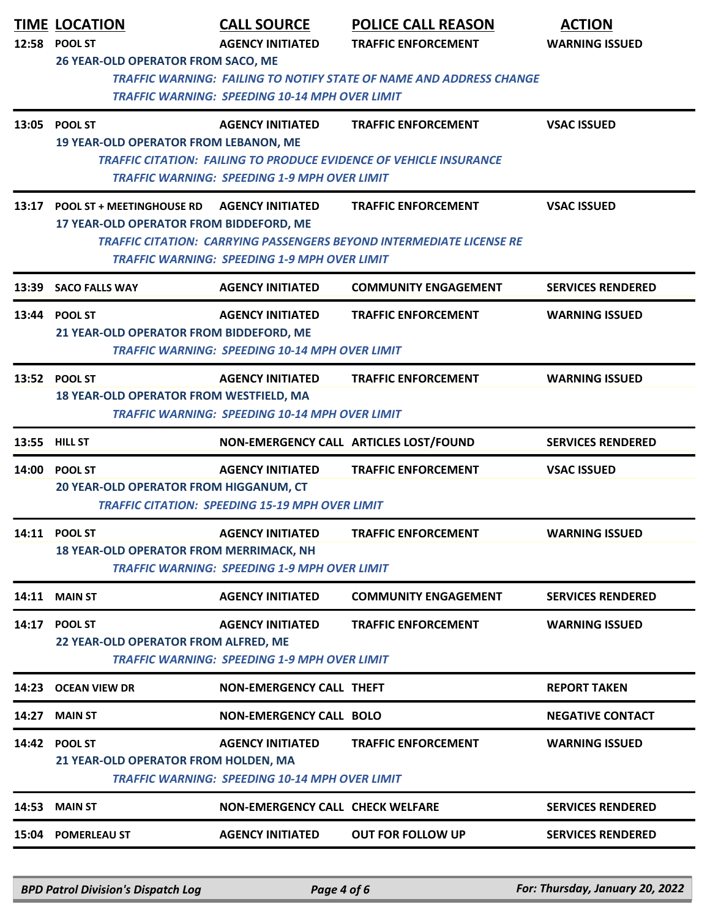|       | <b>TIME LOCATION</b><br>12:58 POOL ST                                                       | <b>CALL SOURCE</b><br><b>AGENCY INITIATED</b>                                     | <b>POLICE CALL REASON</b><br><b>TRAFFIC ENFORCEMENT</b>                                                   | <b>ACTION</b><br><b>WARNING ISSUED</b> |
|-------|---------------------------------------------------------------------------------------------|-----------------------------------------------------------------------------------|-----------------------------------------------------------------------------------------------------------|----------------------------------------|
|       | 26 YEAR-OLD OPERATOR FROM SACO, ME                                                          | <b>TRAFFIC WARNING: SPEEDING 10-14 MPH OVER LIMIT</b>                             | <b>TRAFFIC WARNING: FAILING TO NOTIFY STATE OF NAME AND ADDRESS CHANGE</b>                                |                                        |
|       | 13:05 POOL ST<br><b>19 YEAR-OLD OPERATOR FROM LEBANON, ME</b>                               | <b>AGENCY INITIATED</b><br><b>TRAFFIC WARNING: SPEEDING 1-9 MPH OVER LIMIT</b>    | <b>TRAFFIC ENFORCEMENT</b><br><b>TRAFFIC CITATION: FAILING TO PRODUCE EVIDENCE OF VEHICLE INSURANCE</b>   | <b>VSAC ISSUED</b>                     |
|       | 13:17 POOL ST + MEETINGHOUSE RD AGENCY INITIATED<br>17 YEAR-OLD OPERATOR FROM BIDDEFORD, ME | TRAFFIC WARNING: SPEEDING 1-9 MPH OVER LIMIT                                      | <b>TRAFFIC ENFORCEMENT</b><br><b>TRAFFIC CITATION: CARRYING PASSENGERS BEYOND INTERMEDIATE LICENSE RE</b> | <b>VSAC ISSUED</b>                     |
| 13:39 | <b>SACO FALLS WAY</b>                                                                       | <b>AGENCY INITIATED</b>                                                           | <b>COMMUNITY ENGAGEMENT</b>                                                                               | <b>SERVICES RENDERED</b>               |
|       | 13:44 POOL ST<br>21 YEAR-OLD OPERATOR FROM BIDDEFORD, ME                                    | <b>AGENCY INITIATED</b><br><b>TRAFFIC WARNING: SPEEDING 10-14 MPH OVER LIMIT</b>  | <b>TRAFFIC ENFORCEMENT</b>                                                                                | <b>WARNING ISSUED</b>                  |
|       | 13:52 POOL ST<br>18 YEAR-OLD OPERATOR FROM WESTFIELD, MA                                    | <b>AGENCY INITIATED</b><br><b>TRAFFIC WARNING: SPEEDING 10-14 MPH OVER LIMIT</b>  | <b>TRAFFIC ENFORCEMENT</b>                                                                                | <b>WARNING ISSUED</b>                  |
|       | 13:55 HILL ST                                                                               |                                                                                   | NON-EMERGENCY CALL ARTICLES LOST/FOUND                                                                    | <b>SERVICES RENDERED</b>               |
|       | 14:00 POOL ST<br>20 YEAR-OLD OPERATOR FROM HIGGANUM, CT                                     | <b>AGENCY INITIATED</b><br><b>TRAFFIC CITATION: SPEEDING 15-19 MPH OVER LIMIT</b> | <b>TRAFFIC ENFORCEMENT</b>                                                                                | <b>VSAC ISSUED</b>                     |
|       | 14:11 POOL ST<br><b>18 YEAR-OLD OPERATOR FROM MERRIMACK, NH</b>                             | <b>AGENCY INITIATED</b><br><b>TRAFFIC WARNING: SPEEDING 1-9 MPH OVER LIMIT</b>    | <b>TRAFFIC ENFORCEMENT</b>                                                                                | <b>WARNING ISSUED</b>                  |
|       | <b>14:11 MAIN ST</b>                                                                        | <b>AGENCY INITIATED</b>                                                           | <b>COMMUNITY ENGAGEMENT</b>                                                                               | <b>SERVICES RENDERED</b>               |
|       | 14:17 POOL ST<br>22 YEAR-OLD OPERATOR FROM ALFRED, ME                                       | <b>AGENCY INITIATED</b><br><b>TRAFFIC WARNING: SPEEDING 1-9 MPH OVER LIMIT</b>    | <b>TRAFFIC ENFORCEMENT</b>                                                                                | <b>WARNING ISSUED</b>                  |
| 14:23 | <b>OCEAN VIEW DR</b>                                                                        | NON-EMERGENCY CALL THEFT                                                          |                                                                                                           | <b>REPORT TAKEN</b>                    |
| 14:27 | <b>MAIN ST</b>                                                                              | <b>NON-EMERGENCY CALL BOLO</b>                                                    |                                                                                                           | <b>NEGATIVE CONTACT</b>                |
|       | 14:42 POOL ST<br>21 YEAR-OLD OPERATOR FROM HOLDEN, MA                                       | <b>AGENCY INITIATED</b><br><b>TRAFFIC WARNING: SPEEDING 10-14 MPH OVER LIMIT</b>  | <b>TRAFFIC ENFORCEMENT</b>                                                                                | <b>WARNING ISSUED</b>                  |
| 14:53 | <b>MAIN ST</b>                                                                              | <b>NON-EMERGENCY CALL CHECK WELFARE</b>                                           |                                                                                                           | <b>SERVICES RENDERED</b>               |
|       | 15:04 POMERLEAU ST                                                                          | <b>AGENCY INITIATED</b>                                                           | <b>OUT FOR FOLLOW UP</b>                                                                                  | <b>SERVICES RENDERED</b>               |

*BPD Patrol Division's Dispatch Log Page 4 of 6 For: Thursday, January 20, 2022*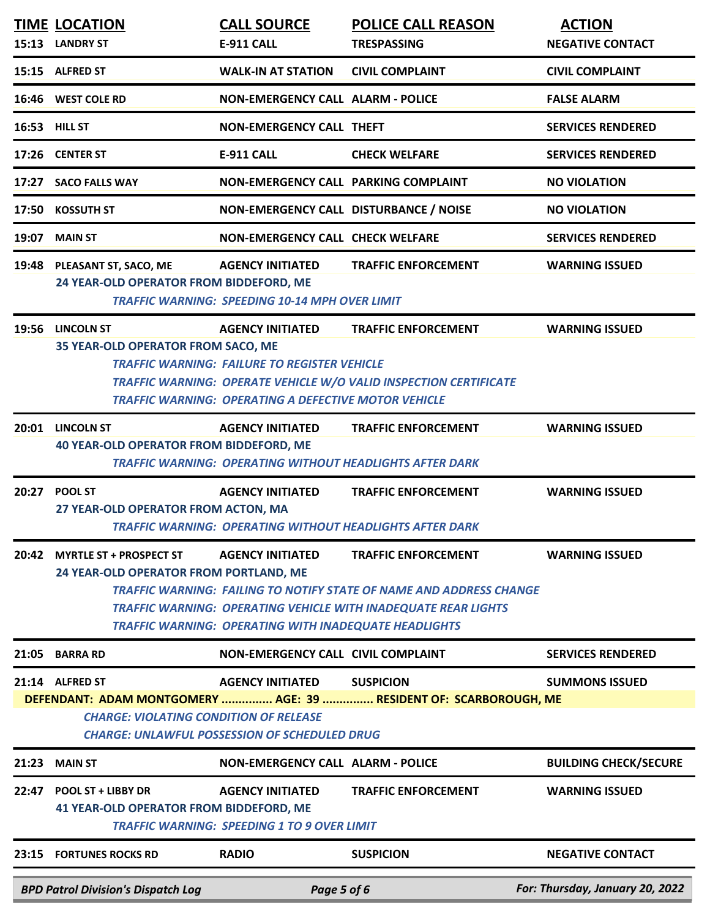|       | <b>TIME LOCATION</b><br>15:13 LANDRY ST                                  | <b>CALL SOURCE</b><br>E-911 CALL                                                                                   | <b>POLICE CALL REASON</b><br><b>TRESPASSING</b>                                                                                                                                   | <b>ACTION</b><br><b>NEGATIVE CONTACT</b> |
|-------|--------------------------------------------------------------------------|--------------------------------------------------------------------------------------------------------------------|-----------------------------------------------------------------------------------------------------------------------------------------------------------------------------------|------------------------------------------|
|       |                                                                          |                                                                                                                    |                                                                                                                                                                                   |                                          |
|       | 15:15 ALFRED ST                                                          | <b>WALK-IN AT STATION</b>                                                                                          | <b>CIVIL COMPLAINT</b>                                                                                                                                                            | <b>CIVIL COMPLAINT</b>                   |
|       | 16:46 WEST COLE RD                                                       | <b>NON-EMERGENCY CALL ALARM - POLICE</b>                                                                           |                                                                                                                                                                                   | <b>FALSE ALARM</b>                       |
|       | 16:53 HILL ST                                                            | NON-EMERGENCY CALL THEFT                                                                                           |                                                                                                                                                                                   | <b>SERVICES RENDERED</b>                 |
|       | 17:26 CENTER ST                                                          | <b>E-911 CALL</b>                                                                                                  | <b>CHECK WELFARE</b>                                                                                                                                                              | <b>SERVICES RENDERED</b>                 |
|       | 17:27 SACO FALLS WAY                                                     | NON-EMERGENCY CALL PARKING COMPLAINT                                                                               |                                                                                                                                                                                   | <b>NO VIOLATION</b>                      |
|       | 17:50 KOSSUTH ST                                                         | NON-EMERGENCY CALL DISTURBANCE / NOISE                                                                             |                                                                                                                                                                                   | <b>NO VIOLATION</b>                      |
| 19:07 | <b>MAIN ST</b>                                                           | <b>NON-EMERGENCY CALL CHECK WELFARE</b>                                                                            |                                                                                                                                                                                   | <b>SERVICES RENDERED</b>                 |
|       | 19:48 PLEASANT ST, SACO, ME<br>24 YEAR-OLD OPERATOR FROM BIDDEFORD, ME   | <b>AGENCY INITIATED</b><br><b>TRAFFIC WARNING: SPEEDING 10-14 MPH OVER LIMIT</b>                                   | <b>TRAFFIC ENFORCEMENT</b>                                                                                                                                                        | <b>WARNING ISSUED</b>                    |
|       | 19:56 LINCOLN ST                                                         | <b>AGENCY INITIATED</b>                                                                                            | <b>TRAFFIC ENFORCEMENT</b>                                                                                                                                                        | <b>WARNING ISSUED</b>                    |
|       | 35 YEAR-OLD OPERATOR FROM SACO, ME                                       | <b>TRAFFIC WARNING: FAILURE TO REGISTER VEHICLE</b><br><b>TRAFFIC WARNING: OPERATING A DEFECTIVE MOTOR VEHICLE</b> | <b>TRAFFIC WARNING: OPERATE VEHICLE W/O VALID INSPECTION CERTIFICATE</b>                                                                                                          |                                          |
|       | 20:01 LINCOLN ST<br><b>40 YEAR-OLD OPERATOR FROM BIDDEFORD, ME</b>       | <b>AGENCY INITIATED</b>                                                                                            | <b>TRAFFIC ENFORCEMENT</b><br><b>TRAFFIC WARNING: OPERATING WITHOUT HEADLIGHTS AFTER DARK</b>                                                                                     | <b>WARNING ISSUED</b>                    |
| 20:27 | <b>POOL ST</b>                                                           | <b>AGENCY INITIATED</b>                                                                                            | <b>TRAFFIC ENFORCEMENT</b>                                                                                                                                                        | <b>WARNING ISSUED</b>                    |
|       | 27 YEAR-OLD OPERATOR FROM ACTON, MA                                      |                                                                                                                    | <b>TRAFFIC WARNING: OPERATING WITHOUT HEADLIGHTS AFTER DARK</b>                                                                                                                   |                                          |
| 20:42 | <b>MYRTLE ST + PROSPECT ST</b><br>24 YEAR-OLD OPERATOR FROM PORTLAND, ME | <b>AGENCY INITIATED</b><br><b>TRAFFIC WARNING: OPERATING WITH INADEQUATE HEADLIGHTS</b>                            | <b>TRAFFIC ENFORCEMENT</b><br><b>TRAFFIC WARNING: FAILING TO NOTIFY STATE OF NAME AND ADDRESS CHANGE</b><br><b>TRAFFIC WARNING: OPERATING VEHICLE WITH INADEQUATE REAR LIGHTS</b> | <b>WARNING ISSUED</b>                    |
| 21:05 | <b>BARRA RD</b>                                                          | NON-EMERGENCY CALL CIVIL COMPLAINT                                                                                 |                                                                                                                                                                                   | <b>SERVICES RENDERED</b>                 |
|       | 21:14 ALFRED ST<br><b>CHARGE: VIOLATING CONDITION OF RELEASE</b>         | <b>AGENCY INITIATED</b><br><b>CHARGE: UNLAWFUL POSSESSION OF SCHEDULED DRUG</b>                                    | <b>SUSPICION</b><br>DEFENDANT: ADAM MONTGOMERY  AGE: 39  RESIDENT OF: SCARBOROUGH, ME                                                                                             | <b>SUMMONS ISSUED</b>                    |
| 21:23 | <b>MAIN ST</b>                                                           | <b>NON-EMERGENCY CALL ALARM - POLICE</b>                                                                           |                                                                                                                                                                                   | <b>BUILDING CHECK/SECURE</b>             |
| 22:47 | POOL ST + LIBBY DR<br><b>41 YEAR-OLD OPERATOR FROM BIDDEFORD, ME</b>     | <b>AGENCY INITIATED</b><br><b>TRAFFIC WARNING: SPEEDING 1 TO 9 OVER LIMIT</b>                                      | <b>TRAFFIC ENFORCEMENT</b>                                                                                                                                                        | <b>WARNING ISSUED</b>                    |
| 23:15 | <b>FORTUNES ROCKS RD</b>                                                 | <b>RADIO</b>                                                                                                       | <b>SUSPICION</b>                                                                                                                                                                  | <b>NEGATIVE CONTACT</b>                  |
|       | <b>BPD Patrol Division's Dispatch Log</b>                                | Page 5 of 6                                                                                                        |                                                                                                                                                                                   | For: Thursday, January 20, 2022          |